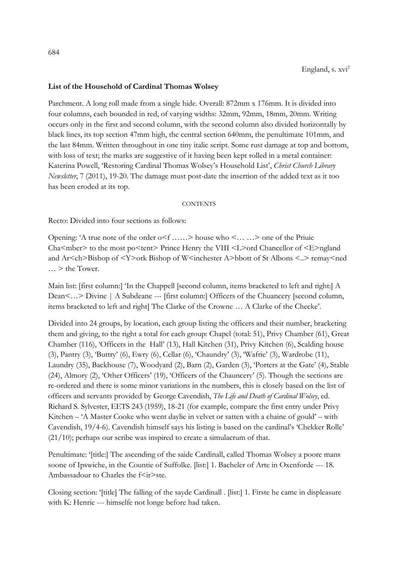## **List of the Household of Cardinal Thomas Wolsey**

Parchment. A long roll made from a single hide. Overall: 872mm x 176mm. It is divided into four columns, each bounded in red, of varying widths: 32mm, 92mm, 18mm, 20mm. Writing occurs only in the first and second column, with the second column also divided horizontally by black lines, its top section 47mm high, the central section 640mm, the penultimate 101mm, and the last 84mm. Written throughout in one tiny italic script. Some rust damage at top and bottom, with loss of text; the marks are suggestive of it having been kept rolled in a metal container: Katerina Powell, 'Restoring Cardinal Thomas Wolsey's Household List', *Christ Church Library Newsletter*, 7 (2011), 19-20. The damage must post-date the insertion of the added text as it too has been eroded at its top.

## **CONTENTS**

Recto: Divided into four sections as follows:

Opening: 'A true note of the order  $\circ \leq f$  ......> house who  $\leq \ldots \leq$  one of the Priuie Cha<mber> to the most po<tent> Prince Henry the VIII <L>ord Chancellor of <E>ngland and Ar<ch>Bishop of <Y>ork Bishop of W<inchester A>bbott of St Albons <..> remay<ned  $\ldots$  > the Tower.

Main list: [first column:] 'In the Chappell [second column, items bracketed to left and right:] A Dean<...> Divine | A Subdeane --- [first column:] Officers of the Chuancery [second column, items bracketed to left and right] The Clarke of the Crowne … A Clarke of the Checke'.

Divided into 24 groups, by location, each group listing the officers and their number, bracketing them and giving, to the right a total for each group: Chapel (total: 51), Privy Chamber (61), Great Chamber (116), 'Officers in the Hall' (13), Hall Kitchen (31), Privy Kitchen (6), Scalding house (3), Pantry (3), 'Buttry' (6), Ewry (6), Cellar (6), 'Chaundry' (3), 'Wafrie' (3), Wardrobe (11), Laundry (35), Backhouse (7), Woodyard (2), Barn (2), Garden (3), 'Porters at the Gate' (4), Stable (24), Almory (2), 'Other Officers' (19), 'Officers of the Chauncery' (5). Though the sections are re-ordered and there is some minor variations in the numbers, this is closely based on the list of officers and servants provided by George Cavendish, *The Life and Death of Cardinal Wolsey*, ed. Richard S. Sylvester, EETS 243 (1959), 18-21 (for example, compare the first entry under Privy Kitchen – 'A Master Cooke who went daylie in velvet or satten with a chaine of gould' – with Cavendish, 19/4-6). Cavendish himself says his listing is based on the cardinal's 'Chekker Rolle' (21/10); perhaps our scribe was inspired to create a simulacrum of that.

Penultimate: '[title:] The ascending of the saide Cardinall, called Thomas Wolsey a poore mans soone of Ipswiche, in the Countie of Suffolke. [list:] 1. Bacheler of Arte in Oxenforde --- 18. Ambassadour to Charles the f<ir>ste.

Closing section: '[title] The falling of the sayde Cardinall . [list:] 1. Firste he came in displeasure with K: Henrie --- himselfe not longe before had taken.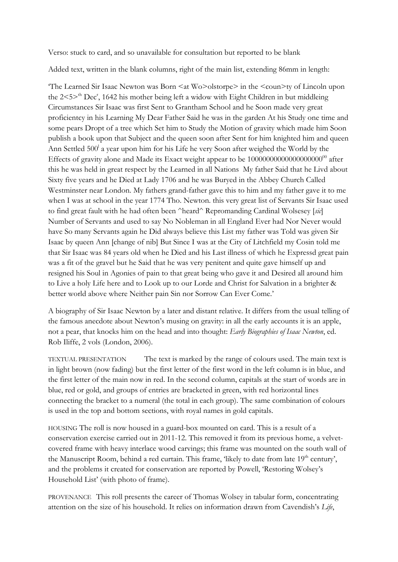Verso: stuck to card, and so unavailable for consultation but reported to be blank

Added text, written in the blank columns, right of the main list, extending 86mm in length:

The Learned Sir Isaac Newton was Born  $\leq$  at Wo $>$ olstorpe $>$  in the  $\leq$ coun $\geq$ ty of Lincoln upon the  $2 < 5$ <sup>th</sup> Dec<sup>r</sup>, 1642 his mother being left a widow with Eight Children in but middleing Circumstances Sir Isaac was first Sent to Grantham School and he Soon made very great proficientcy in his Learning My Dear Father Said he was in the garden At his Study one time and some pears Dropt of a tree which Set him to Study the Motion of gravity which made him Soon publish a book upon that Subject and the queen soon after Sent for him knighted him and queen Ann Settled 500<sup>1</sup> a year upon him for his Life he very Soon after weighed the World by the Effects of gravity alone and Made its Exact weight appear to be 1000000000000000000000 after this he was held in great respect by the Learned in all Nations My father Said that he Livd about Sixty five years and he Died at Lady 1706 and he was Buryed in the Abbey Church Called Westminster near London. My fathers grand-father gave this to him and my father gave it to me when I was at school in the year 1774 Tho. Newton. this very great list of Servants Sir Isaac used to find great fault with he had often been ^heard^ Repromanding Cardinal Wolsesey [*sic*] Number of Servants and used to say No Nobleman in all England Ever had Nor Never would have So many Servants again he Did always believe this List my father was Told was given Sir Isaac by queen Ann [change of nib] But Since I was at the City of Litchfield my Cosin told me that Sir Isaac was 84 years old when he Died and his Last illness of which he Expressd great pain was a fit of the gravel but he Said that he was very penitent and quite gave himself up and resigned his Soul in Agonies of pain to that great being who gave it and Desired all around him to Live a holy Life here and to Look up to our Lorde and Christ for Salvation in a brighter & better world above where Neither pain Sin nor Sorrow Can Ever Come.'

A biography of Sir Isaac Newton by a later and distant relative. It differs from the usual telling of the famous anecdote about Newton's musing on gravity: in all the early accounts it is an apple, not a pear, that knocks him on the head and into thought: *Early Biographies of Isaac Newton*, ed. Rob Iliffe, 2 vols (London, 2006).

TEXTUAL PRESENTATION The text is marked by the range of colours used. The main text is in light brown (now fading) but the first letter of the first word in the left column is in blue, and the first letter of the main now in red. In the second column, capitals at the start of words are in blue, red or gold, and groups of entries are bracketed in green, with red horizontal lines connecting the bracket to a numeral (the total in each group). The same combination of colours is used in the top and bottom sections, with royal names in gold capitals.

HOUSING The roll is now housed in a guard-box mounted on card. This is a result of a conservation exercise carried out in 2011-12. This removed it from its previous home, a velvetcovered frame with heavy interlace wood carvings; this frame was mounted on the south wall of the Manuscript Room, behind a red curtain. This frame, 'likely to date from late 19<sup>th</sup> century', and the problems it created for conservation are reported by Powell, 'Restoring Wolsey's Household List' (with photo of frame).

PROVENANCE This roll presents the career of Thomas Wolsey in tabular form, concentrating attention on the size of his household. It relies on information drawn from Cavendish's *Life*,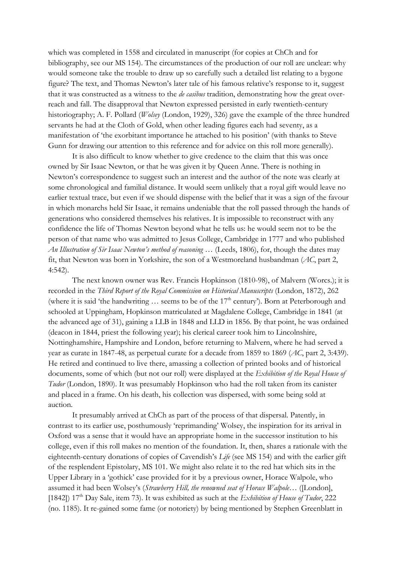which was completed in 1558 and circulated in manuscript (for copies at ChCh and for bibliography, see our MS 154). The circumstances of the production of our roll are unclear: why would someone take the trouble to draw up so carefully such a detailed list relating to a bygone figure? The text, and Thomas Newton's later tale of his famous relative's response to it, suggest that it was constructed as a witness to the *de casibus* tradition, demonstrating how the great overreach and fall. The disapproval that Newton expressed persisted in early twentieth-century historiography; A. F. Pollard (*Wolsey* (London, 1929), 326) gave the example of the three hundred servants he had at the Cloth of Gold, when other leading figures each had seventy, as a manifestation of 'the exorbitant importance he attached to his position' (with thanks to Steve Gunn for drawing our attention to this reference and for advice on this roll more generally).

It is also difficult to know whether to give credence to the claim that this was once owned by Sir Isaac Newton, or that he was given it by Queen Anne. There is nothing in Newton's correspondence to suggest such an interest and the author of the note was clearly at some chronological and familial distance. It would seem unlikely that a royal gift would leave no earlier textual trace, but even if we should dispense with the belief that it was a sign of the favour in which monarchs held Sir Isaac, it remains undeniable that the roll passed through the hands of generations who considered themselves his relatives. It is impossible to reconstruct with any confidence the life of Thomas Newton beyond what he tells us: he would seem not to be the person of that name who was admitted to Jesus College, Cambridge in 1777 and who published *An Illustration of Sir Isaac Newton's method of reasoning …* (Leeds, 1806), for, though the dates may fit, that Newton was born in Yorkshire, the son of a Westmoreland husbandman (*AC*, part 2, 4:542).

The next known owner was Rev. Francis Hopkinson (1810-98), of Malvern (Worcs.); it is recorded in the *Third Report of the Royal Commission on Historical Manuscripts* (London, 1872), 262 (where it is said 'the handwriting  $\ldots$  seems to be of the 17<sup>th</sup> century'). Born at Peterborough and schooled at Uppingham, Hopkinson matriculated at Magdalene College, Cambridge in 1841 (at the advanced age of 31), gaining a LLB in 1848 and LLD in 1856. By that point, he was ordained (deacon in 1844, priest the following year); his clerical career took him to Lincolnshire, Nottinghamshire, Hampshire and London, before returning to Malvern, where he had served a year as curate in 1847-48, as perpetual curate for a decade from 1859 to 1869 (*AC*, part 2, 3:439). He retired and continued to live there, amassing a collection of printed books and of historical documents, some of which (but not our roll) were displayed at the *Exhibition of the Royal House of Tudor* (London, 1890). It was presumably Hopkinson who had the roll taken from its canister and placed in a frame. On his death, his collection was dispersed, with some being sold at auction.

It presumably arrived at ChCh as part of the process of that dispersal. Patently, in contrast to its earlier use, posthumously 'reprimanding' Wolsey, the inspiration for its arrival in Oxford was a sense that it would have an appropriate home in the successor institution to his college, even if this roll makes no mention of the foundation. It, then, shares a rationale with the eighteenth-century donations of copies of Cavendish's *Life* (see MS 154) and with the earlier gift of the resplendent Epistolary, MS 101. We might also relate it to the red hat which sits in the Upper Library in a 'gothick' case provided for it by a previous owner, Horace Walpole, who assumed it had been Wolsey's (*Strawberry Hill, the renowned seat of Horace Walpole…* ([London], [1842]) 17<sup>th</sup> Day Sale, item 73). It was exhibited as such at the *Exhibition of House of Tudor*, 222 (no. 1185). It re-gained some fame (or notoriety) by being mentioned by Stephen Greenblatt in